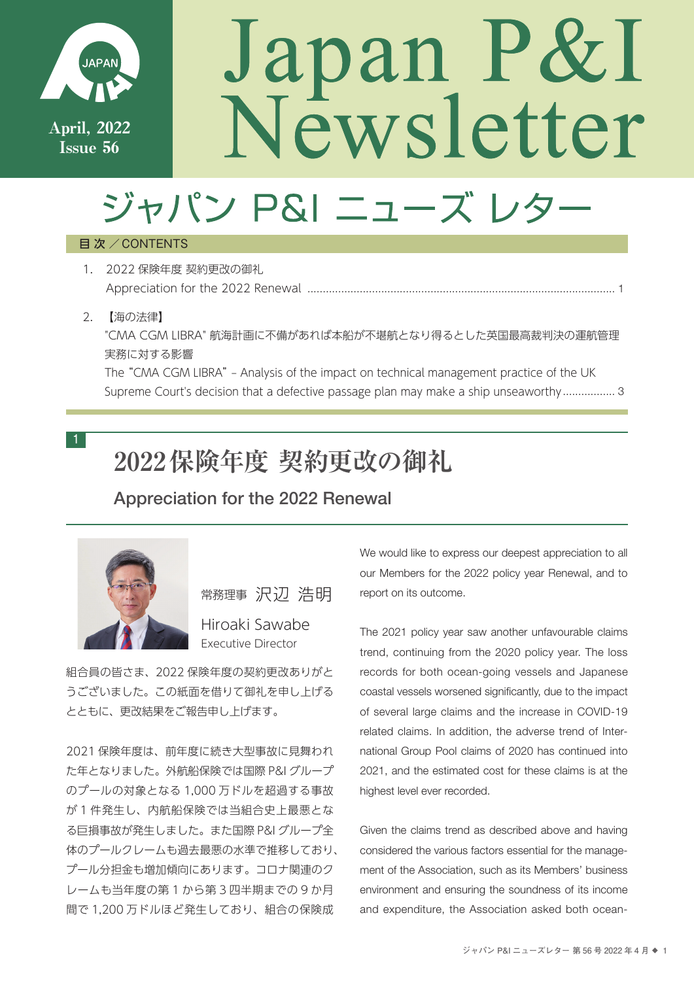

# Japan P&I<br>Newsletter

# ジャパン P&I ニューズ レター

### 目 次 / CONTENTS

- 1. 2022 保険年度 契約更改の御礼 Appreciation for the 2022 Renewal .................................................................................................... 1
- 2. 【海の法律】

"CMA CGM LIBRA" 航海計画に不備があれば本船が不堪航となり得るとした英国最高裁判決の運航管理 実務に対する影響

The"CMA CGM LIBRA"– Analysis of the impact on technical management practice of the UK Supreme Court's decision that a defective passage plan may make a ship unseaworthy................. 3

### 1

# **2022保険年度 契約更改の御礼**

Appreciation for the 2022 Renewal



常務理事 沢辺 浩明

Hiroaki Sawabe Executive Director

組合員の皆さま、2022 保険年度の契約更改ありがと うございました。この紙面を借りて御礼を申し上げる とともに、更改結果をご報告申し上げます。

2021 保険年度は、前年度に続き大型事故に見舞われ た年となりました。外航船保険では国際 P&I グループ のプールの対象となる 1,000 万ドルを超過する事故 が 1 件発生し、内航船保険では当組合史上最悪とな る巨損事故が発生しました。また国際 P&I グループ全 体のプールクレームも過去最悪の水準で推移しており、 プール分担金も増加傾向にあります。コロナ関連のク レームも当年度の第 1 から第 3 四半期までの 9 か月 間で 1,200 万ドルほど発生しており、組合の保険成

We would like to express our deepest appreciation to all our Members for the 2022 policy year Renewal, and to report on its outcome.

The 2021 policy year saw another unfavourable claims trend, continuing from the 2020 policy year. The loss records for both ocean-going vessels and Japanese coastal vessels worsened significantly, due to the impact of several large claims and the increase in COVID-19 related claims. In addition, the adverse trend of International Group Pool claims of 2020 has continued into 2021, and the estimated cost for these claims is at the highest level ever recorded.

Given the claims trend as described above and having considered the various factors essential for the management of the Association, such as its Members' business environment and ensuring the soundness of its income and expenditure, the Association asked both ocean-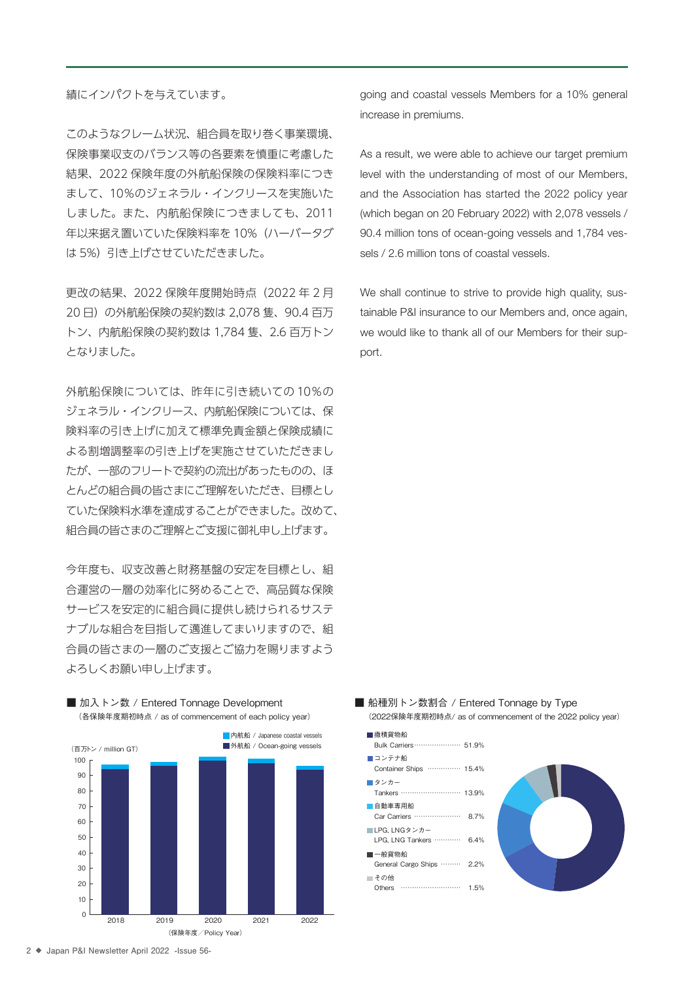### 績にインパクトを与えています。

このようなクレーム状況、組合員を取り巻く事業環境、 保険事業収支のバランス等の各要素を慎重に考慮した 結果、2022 保険年度の外航船保険の保険料率につき まして、10%のジェネラル・インクリースを実施いた しました。また、内航船保険につきましても、2011 年以来据え置いていた保険料率を 10%(ハーバータグ は 5%) 引き上げさせていただきました。

更改の結果、2022 保険年度開始時点(2022 年 2 月 20 日)の外航船保険の契約数は 2,078 隻、90.4 百万 トン、内航船保険の契約数は 1,784 隻、2.6 百万トン となりました。

外航船保険については、昨年に引き続いての 10%の ジェネラル・インクリース、内航船保険については、保 険料率の引き上げに加えて標準免責金額と保険成績に よる割増調整率の引き上げを実施させていただきまし たが、一部のフリートで契約の流出があったものの、ほ とんどの組合員の皆さまにご理解をいただき、目標とし ていた保険料水準を達成することができました。改めて、 組合員の皆さまのご理解とご支援に御礼申し上げます。

今年度も、収支改善と財務基盤の安定を目標とし、組 合運営の一層の効率化に努めることで、高品質な保険 サービスを安定的に組合員に提供し続けられるサステ <sub>。</sub><br>ナブルな組合を目指して邁進してまいりますので、組 合員の皆さまの一層のご支援とご協力を賜りますよう よろしくお願い申し上げます。  $(20, 20, 0.06)$  and  $(20, 0.06)$  policy  $(20, 0.07)$  policy  $(20, 0.07)$ 





going and coastal vessels Members for a 10% general increase in premiums.

As a result, we were able to achieve our target premium level with the understanding of most of our Members, and the Association has started the 2022 policy year (which began on 20 February 2022) with 2,078 vessels / 90.4 million tons of ocean-going vessels and 1,784 vessels / 2.6 million tons of coastal vessels.

We shall continue to strive to provide high quality, sustainable P&I insurance to our Members and, once again, we would like to thank all of our Members for their support.



| ■ 撒精貨物船<br>Bulk Carriers  51.9%             |       |
|---------------------------------------------|-------|
| ■コンテナ船<br>$\cdots$ 15.4%<br>Container Ships |       |
| ■タンカー<br>Tankers ……………………                   | 13.9% |
| ■自動車車用船<br>Car Carriers                     | 8.7%  |
| ■ LPG, LNGタンカー<br>LPG, LNG Tankers          | 6.4%  |
| ■一般貨物船<br>General Cargo Ships  2.2%         |       |
| ■その他<br>Others                              | 1.5%  |

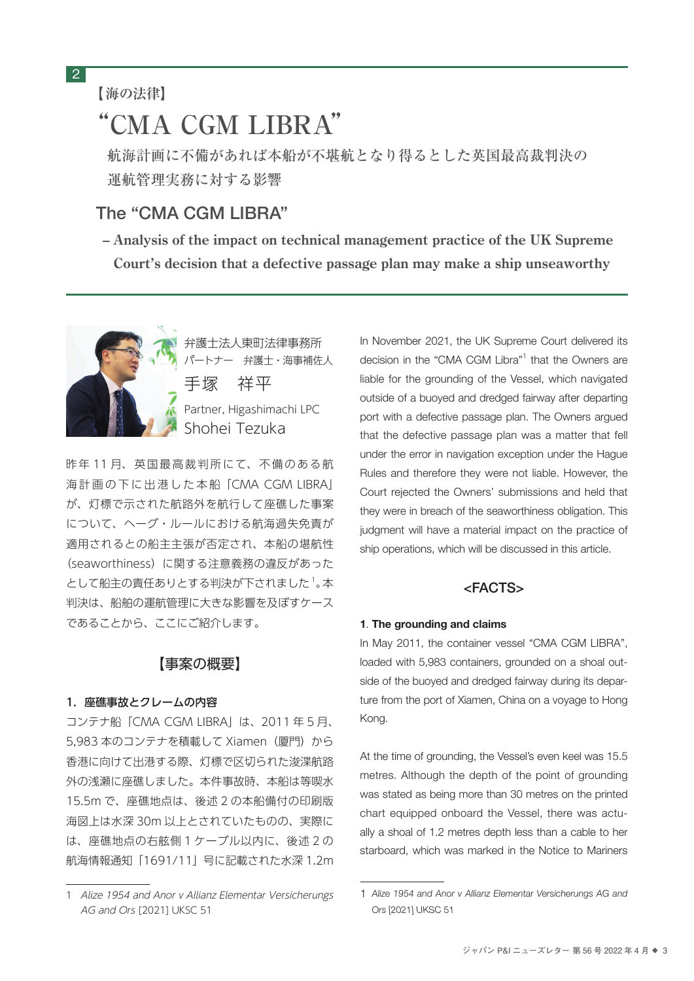### **【海の法律】**

2

## **"CMA CGM LIBRA"**

航海計画に不備があれば本船が不堪航となり得るとした英国最高裁判決の 運航管理実務に対する影響

### The "CMA CGM LIBRA"

**– Analysis of the impact on technical management practice of the UK Supreme Court's decision that a defective passage plan may make a ship unseaworthy**



弁護士法人東町法律事務所 パートナー 弁護士・海事補佐人 手塚 祥平 Partner, Higashimachi LPC Shohei Tezuka

昨年 11 月、英国最高裁判所にて、不備のある航 海計画の下に出港した本船「CMA CGM LIBRAI」 が、灯標で示された航路外を航行して座礁した事案 について、ヘーグ・ルールにおける航海過失免責が 適用されるとの船主主張が否定され、本船の堪航性 (seaworthiness)に関する注意義務の違反があった として船主の責任ありとする判決が下されました $^1$ 。本 判決は、船舶の運航管理に大きな影響を及ぼすケース であることから、ここにご紹介します。

### 【事案の概要】

### 1. 座礁事故とクレームの内容

コンテナ船「CMA CGM LIBRA」は、2011 年 5 月、 5,983 本のコンテナを積載して Xiamen (厦門) から 香港に向けて出港する際、灯標で区切られた浚渫航路 外の浅瀬に座礁しました。本件事故時、本船は等喫水 15.5m で、座礁地点は、後述 2 の本船備付の印刷版 海図上は水深 30m 以上とされていたものの、実際に は、座礁地点の右舷側 1 ケーブル以内に、後述 2 の 航海情報通知「1691/11」号に記載された水深 1.2m In November 2021, the UK Supreme Court delivered its decision in the "CMA CGM Libra"<sup>1</sup> that the Owners are liable for the grounding of the Vessel, which navigated outside of a buoyed and dredged fairway after departing port with a defective passage plan. The Owners argued that the defective passage plan was a matter that fell under the error in navigation exception under the Hague Rules and therefore they were not liable. However, the Court rejected the Owners' submissions and held that they were in breach of the seaworthiness obligation. This judgment will have a material impact on the practice of ship operations, which will be discussed in this article.

### <FACTS>

### 1. The grounding and claims

In May 2011, the container vessel "CMA CGM LIBRA", loaded with 5,983 containers, grounded on a shoal outside of the buoyed and dredged fairway during its departure from the port of Xiamen, China on a voyage to Hong Kong.

At the time of grounding, the Vessel's even keel was 15.5 metres. Although the depth of the point of grounding was stated as being more than 30 metres on the printed chart equipped onboard the Vessel, there was actually a shoal of 1.2 metres depth less than a cable to her starboard, which was marked in the Notice to Mariners

<sup>1</sup> Alize 1954 and Anor v Allianz Elementar Versicherungs AG and Ors [2021] UKSC 51

<sup>1</sup> Alize 1954 and Anor v Allianz Elementar Versicherungs AG and Ors [2021] UKSC 51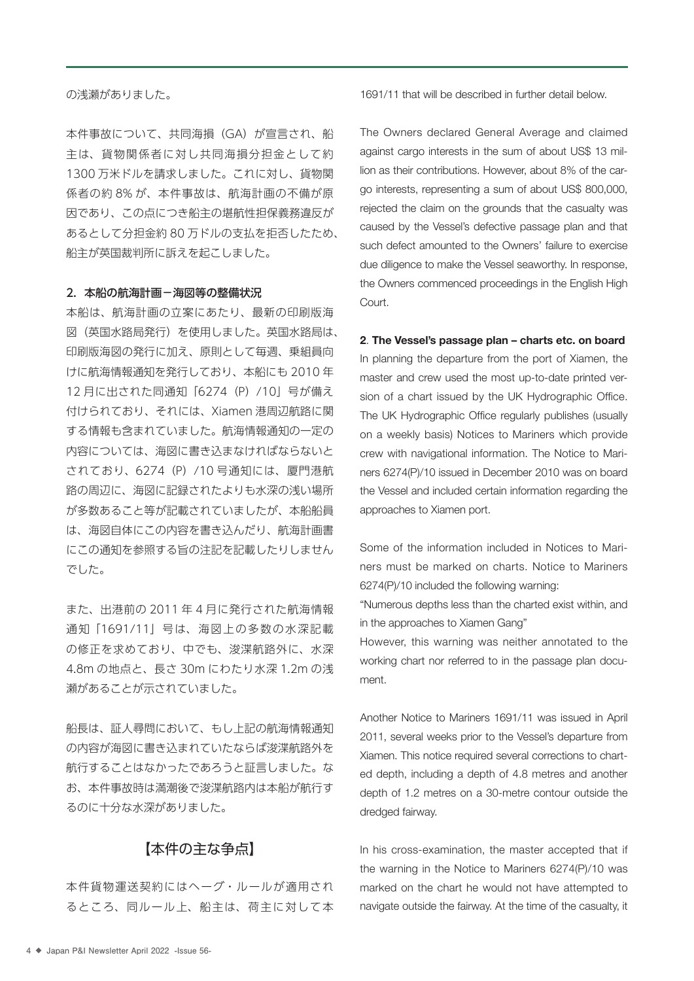本件事故について、共同海損(GA)が宣言され、船 主は、貨物関係者に対し共同海損分担金として約 1300 万米ドルを請求しました。これに対し、貨物関 係者の約 8% が、本件事故は、航海計画の不備が原 因であり、この点につき船主の堪航性担保義務違反が あるとして分担金約 80 万ドルの支払を拒否したため、 船主が英国裁判所に訴えを起こしました。

### 2.本船の航海計画-海図等の整備状況

本船は、航海計画の立案にあたり、最新の印刷版海 図(英国水路局発行)を使用しました。英国水路局は、 印刷版海図の発行に加え、原則として毎週、乗組員向 けに航海情報通知を発行しており、本船にも 2010 年 12 月に出された同通知「6274(P)/10」号が備え 付けられており、それには、Xiamen 港周辺航路に関 する情報も含まれていました。航海情報通知の一定の 内容については、海図に書き込まなければならないと されており、6274(P)/10 号通知には、厦門港航 路の周辺に、海図に記録されたよりも水深の浅い場所 が多数あること等が記載されていましたが、本船船員 は、海図自体にこの内容を書き込んだり、航海計画書 にこの通知を参照する旨の注記を記載したりしません でした。

また、出港前の 2011 年 4 月に発行された航海情報 通知「1691/11」号は、海図上の多数の水深記載 の修正を求めており、中でも、浚渫航路外に、水深 4.8m の地点と、長さ 30m にわたり水深 1.2m の浅 瀬があることが示されていました。

船長は、証人尋問において、もし上記の航海情報通知 の内容が海図に書き込まれていたならば浚渫航路外を 航行することはなかったであろうと証言しました。な お、本件事故時は満潮後で浚渫航路内は本船が航行す るのに十分な水深がありました。

### 【本件の主な争点】

本件貨物運送契約にはヘーグ・ルールが適用され るところ、同ルール上、船主は、荷主に対して本 1691/11 that will be described in further detail below.

The Owners declared General Average and claimed against cargo interests in the sum of about US\$ 13 million as their contributions. However, about 8% of the cargo interests, representing a sum of about US\$ 800,000, rejected the claim on the grounds that the casualty was caused by the Vessel's defective passage plan and that such defect amounted to the Owners' failure to exercise due diligence to make the Vessel seaworthy. In response, the Owners commenced proceedings in the English High Court.

### 2. The Vessel's passage plan – charts etc. on board

In planning the departure from the port of Xiamen, the master and crew used the most up-to-date printed version of a chart issued by the UK Hydrographic Office. The UK Hydrographic Office regularly publishes (usually on a weekly basis) Notices to Mariners which provide crew with navigational information. The Notice to Mariners 6274(P)/10 issued in December 2010 was on board the Vessel and included certain information regarding the approaches to Xiamen port.

Some of the information included in Notices to Mariners must be marked on charts. Notice to Mariners 6274(P)/10 included the following warning:

"Numerous depths less than the charted exist within, and in the approaches to Xiamen Gang"

However, this warning was neither annotated to the working chart nor referred to in the passage plan document.

Another Notice to Mariners 1691/11 was issued in April 2011, several weeks prior to the Vessel's departure from Xiamen. This notice required several corrections to charted depth, including a depth of 4.8 metres and another depth of 1.2 metres on a 30-metre contour outside the dredged fairway.

In his cross-examination, the master accepted that if the warning in the Notice to Mariners 6274(P)/10 was marked on the chart he would not have attempted to navigate outside the fairway. At the time of the casualty, it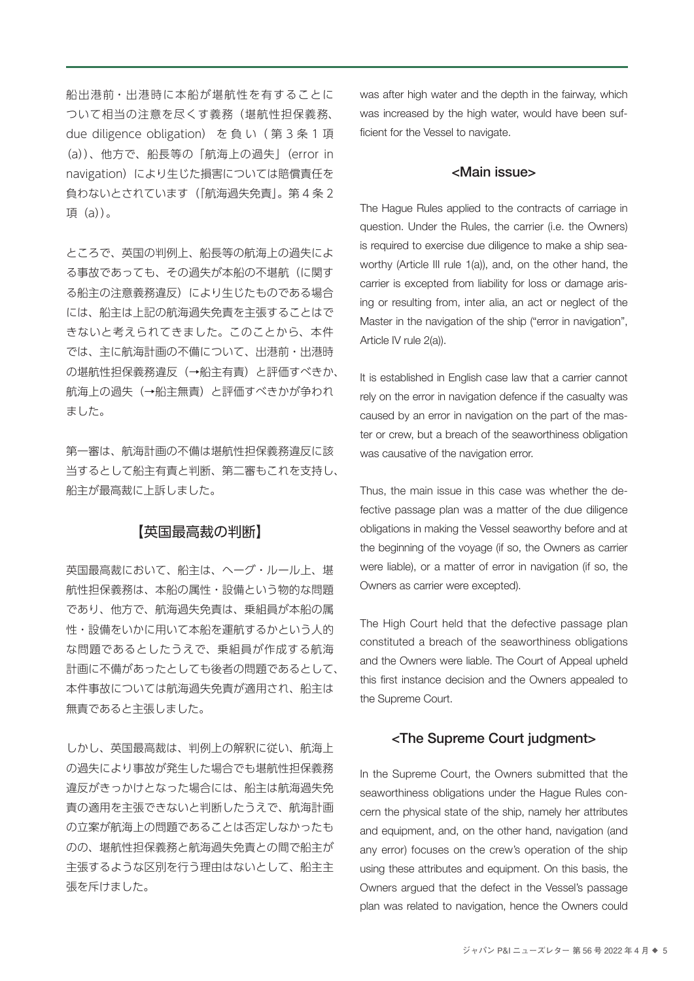船出港前・出港時に本船が堪航性を有することに ついて相当の注意を尽くす義務(堪航性担保義務、 due diligence obligation) を 負 い( 第 3 条 1 項 (a))、他方で、船長等の「航海上の過失」(error in navigation)により生じた損害については賠償責任を 負わないとされています(「航海過失免責」。第 4 条 2 項(a))。

ところで、英国の判例上、船長等の航海上の過失によ る事故であっても、その過失が本船の不堪航(に関す る船主の注意義務違反)により生じたものである場合 には、船主は上記の航海過失免責を主張することはで きないと考えられてきました。このことから、本件 では、主に航海計画の不備について、出港前・出港時 の堪航性担保義務違反(→船主有責)と評価すべきか、 航海上の過失(→船主無責)と評価すべきかが争われ ました。

第一審は、航海計画の不備は堪航性担保義務違反に該 当するとして船主有責と判断、第二審もこれを支持し、 船主が最高裁に上訴しました。

### 【英国最高裁の判断】

英国最高裁において、船主は、ヘーグ・ルール上、堪 航性担保義務は、本船の属性・設備という物的な問題 であり、他方で、航海過失免責は、乗組員が本船の属 性・設備をいかに用いて本船を運航するかという人的 な問題であるとしたうえで、乗組員が作成する航海 計画に不備があったとしても後者の問題であるとして、 本件事故については航海過失免責が適用され、船主は 無責であると主張しました。

しかし、英国最高裁は、判例上の解釈に従い、航海上 の過失により事故が発生した場合でも堪航性担保義務 違反がきっかけとなった場合には、船主は航海過失免 責の適用を主張できないと判断したうえで、航海計画 の立案が航海上の問題であることは否定しなかったも のの、堪航性担保義務と航海過失免責との間で船主が 主張するような区別を行う理由はないとして、船主主 張を斥けました。

was after high water and the depth in the fairway, which was increased by the high water, would have been sufficient for the Vessel to navigate.

### <Main issue>

The Hague Rules applied to the contracts of carriage in question. Under the Rules, the carrier (i.e. the Owners) is required to exercise due diligence to make a ship seaworthy (Article III rule 1(a)), and, on the other hand, the carrier is excepted from liability for loss or damage arising or resulting from, inter alia, an act or neglect of the Master in the navigation of the ship ("error in navigation", Article IV rule 2(a)).

It is established in English case law that a carrier cannot rely on the error in navigation defence if the casualty was caused by an error in navigation on the part of the master or crew, but a breach of the seaworthiness obligation was causative of the navigation error.

Thus, the main issue in this case was whether the defective passage plan was a matter of the due diligence obligations in making the Vessel seaworthy before and at the beginning of the voyage (if so, the Owners as carrier were liable), or a matter of error in navigation (if so, the Owners as carrier were excepted).

The High Court held that the defective passage plan constituted a breach of the seaworthiness obligations and the Owners were liable. The Court of Appeal upheld this first instance decision and the Owners appealed to the Supreme Court.

### <The Supreme Court judgment>

In the Supreme Court, the Owners submitted that the seaworthiness obligations under the Hague Rules concern the physical state of the ship, namely her attributes and equipment, and, on the other hand, navigation (and any error) focuses on the crew's operation of the ship using these attributes and equipment. On this basis, the Owners argued that the defect in the Vessel's passage plan was related to navigation, hence the Owners could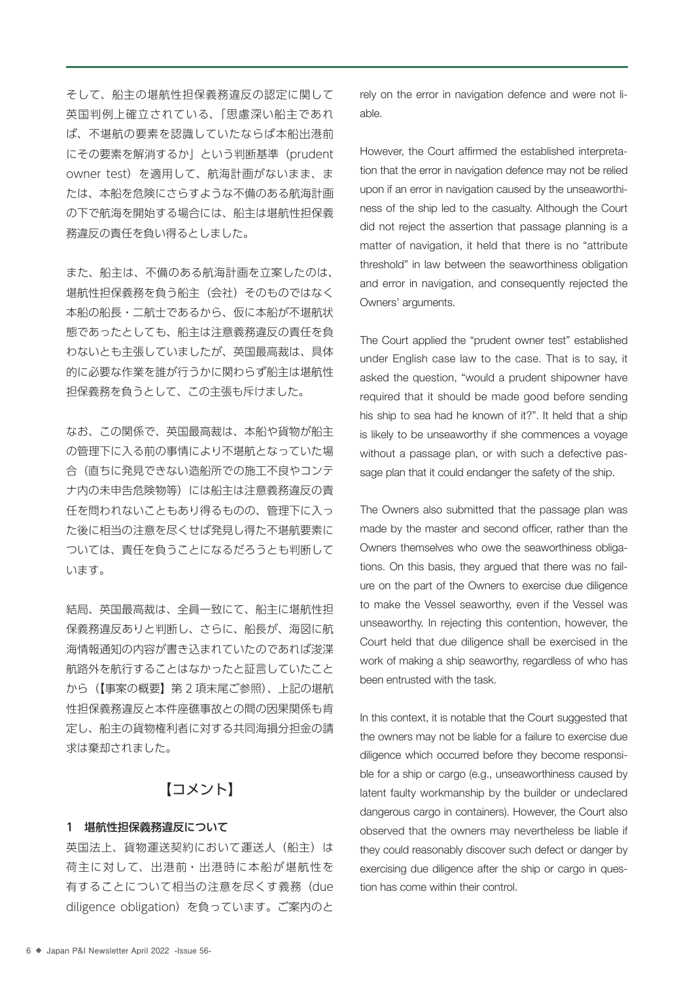そして、船主の堪航性担保義務違反の認定に関して 英国判例上確立されている、「思慮深い船主であれ ば、不堪航の要素を認識していたならば本船出港前 にその要素を解消するか」という判断基準(prudent owner test)を適用して、航海計画がないまま、ま たは、本船を危険にさらすような不備のある航海計画 の下で航海を開始する場合には、船主は堪航性担保義 務違反の責任を負い得るとしました。

また、船主は、不備のある航海計画を立案したのは、 堪航性担保義務を負う船主(会社)そのものではなく 本船の船長・二航士であるから、仮に本船が不堪航状 態であったとしても、船主は注意義務違反の責任を負 わないとも主張していましたが、英国最高裁は、具体 的に必要な作業を誰が行うかに関わらず船主は堪航性 担保義務を負うとして、この主張も斥けました。

なお、この関係で、英国最高裁は、本船や貨物が船主 の管理下に入る前の事情により不堪航となっていた場 合(直ちに発見できない造船所での施工不良やコンテ ナ内の未申告危険物等)には船主は注意義務違反の責 任を問われないこともあり得るものの、管理下に入っ た後に相当の注意を尽くせば発見し得た不堪航要素に ついては、責任を負うことになるだろうとも判断して います。

結局、英国最高裁は、全員一致にて、船主に堪航性担 保義務違反ありと判断し、さらに、船長が、海図に航 海情報通知の内容が書き込まれていたのであれば浚渫 航路外を航行することはなかったと証言していたこと から(【事案の概要】第 2 項末尾ご参照)、上記の堪航 性担保義務違反と本件座礁事故との間の因果関係も肯 定し、船主の貨物権利者に対する共同海損分担金の請 求は棄却されました。

### 【コメント】

### 1 堪航性担保義務違反について

英国法上、貨物運送契約において運送人(船主)は 荷主に対して、出港前・出港時に本船が堪航性を 有することについて相当の注意を尽くす義務(due diligence obligation)を負っています。ご案内のと

rely on the error in navigation defence and were not liable.

However, the Court affirmed the established interpretation that the error in navigation defence may not be relied upon if an error in navigation caused by the unseaworthiness of the ship led to the casualty. Although the Court did not reject the assertion that passage planning is a matter of navigation, it held that there is no "attribute threshold" in law between the seaworthiness obligation and error in navigation, and consequently rejected the Owners' arguments.

The Court applied the "prudent owner test" established under English case law to the case. That is to say, it asked the question, "would a prudent shipowner have required that it should be made good before sending his ship to sea had he known of it?". It held that a ship is likely to be unseaworthy if she commences a voyage without a passage plan, or with such a defective passage plan that it could endanger the safety of the ship.

The Owners also submitted that the passage plan was made by the master and second officer, rather than the Owners themselves who owe the seaworthiness obligations. On this basis, they argued that there was no failure on the part of the Owners to exercise due diligence to make the Vessel seaworthy, even if the Vessel was unseaworthy. In rejecting this contention, however, the Court held that due diligence shall be exercised in the work of making a ship seaworthy, regardless of who has been entrusted with the task.

In this context, it is notable that the Court suggested that the owners may not be liable for a failure to exercise due diligence which occurred before they become responsible for a ship or cargo (e.g., unseaworthiness caused by latent faulty workmanship by the builder or undeclared dangerous cargo in containers). However, the Court also observed that the owners may nevertheless be liable if they could reasonably discover such defect or danger by exercising due diligence after the ship or cargo in question has come within their control.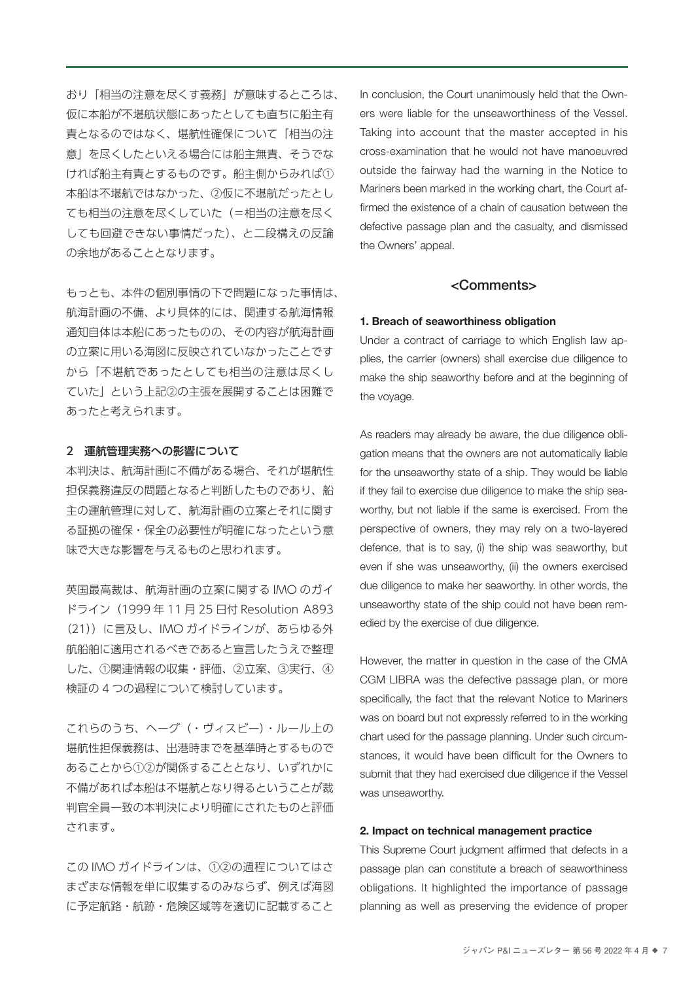おり「相当の注意を尽くす義務」が意味するところは、 仮に本船が不堪航状態にあったとしても直ちに船主有 責となるのではなく、堪航性確保について「相当の注 意」を尽くしたといえる場合には船主無責、そうでな ければ船主有責とするものです。船主側からみれば① 本船は不堪航ではなかった、②仮に不堪航だったとし ても相当の注意を尽くしていた(=相当の注意を尽く しても回避できない事情だった)、と二段構えの反論 の余地があることとなります。

もっとも、本件の個別事情の下で問題になった事情は、 航海計画の不備、より具体的には、関連する航海情報 通知自体は本船にあったものの、その内容が航海計画 の立案に用いる海図に反映されていなかったことです から「不堪航であったとしても相当の注意は尽くし ていた」という上記②の主張を展開することは困難で あったと考えられます。

### 2 運航管理実務への影響について

本判決は、航海計画に不備がある場合、それが堪航性 担保義務違反の問題となると判断したものであり、船 主の運航管理に対して、航海計画の立案とそれに関す る証拠の確保・保全の必要性が明確になったという意 味で大きな影響を与えるものと思われます。

英国最高裁は、航海計画の立案に関する IMO のガイ ドライン(1999 年 11 月 25 日付 Resolution A893 (21))に言及し、IMO ガイドラインが、あらゆる外 航船舶に適用されるべきであると宣言したうえで整理 した、①関連情報の収集・評価、②立案、③実行、④ 検証の 4 つの過程について検討しています。

これらのうち、ヘーグ(・ヴィスビー)・ルール上の 堪航性担保義務は、出港時までを基準時とするもので あることから①②が関係することとなり、いずれかに 不備があれば本船は不堪航となり得るということが裁 判官全員一致の本判決により明確にされたものと評価 されます。

この IMO ガイドラインは、①②の過程についてはさ まざまな情報を単に収集するのみならず、例えば海図 に予定航路・航跡・危険区域等を適切に記載すること

In conclusion, the Court unanimously held that the Owners were liable for the unseaworthiness of the Vessel. Taking into account that the master accepted in his cross-examination that he would not have manoeuvred outside the fairway had the warning in the Notice to Mariners been marked in the working chart, the Court affirmed the existence of a chain of causation between the defective passage plan and the casualty, and dismissed the Owners' appeal.

### <Comments>

### 1. Breach of seaworthiness obligation

Under a contract of carriage to which English law applies, the carrier (owners) shall exercise due diligence to make the ship seaworthy before and at the beginning of the voyage.

As readers may already be aware, the due diligence obligation means that the owners are not automatically liable for the unseaworthy state of a ship. They would be liable if they fail to exercise due diligence to make the ship seaworthy, but not liable if the same is exercised. From the perspective of owners, they may rely on a two-layered defence, that is to say, (i) the ship was seaworthy, but even if she was unseaworthy, (ii) the owners exercised due diligence to make her seaworthy. In other words, the unseaworthy state of the ship could not have been remedied by the exercise of due diligence.

However, the matter in question in the case of the CMA CGM LIBRA was the defective passage plan, or more specifically, the fact that the relevant Notice to Mariners was on board but not expressly referred to in the working chart used for the passage planning. Under such circumstances, it would have been difficult for the Owners to submit that they had exercised due diligence if the Vessel was unseaworthy.

### 2. Impact on technical management practice

This Supreme Court judgment affirmed that defects in a passage plan can constitute a breach of seaworthiness obligations. It highlighted the importance of passage planning as well as preserving the evidence of proper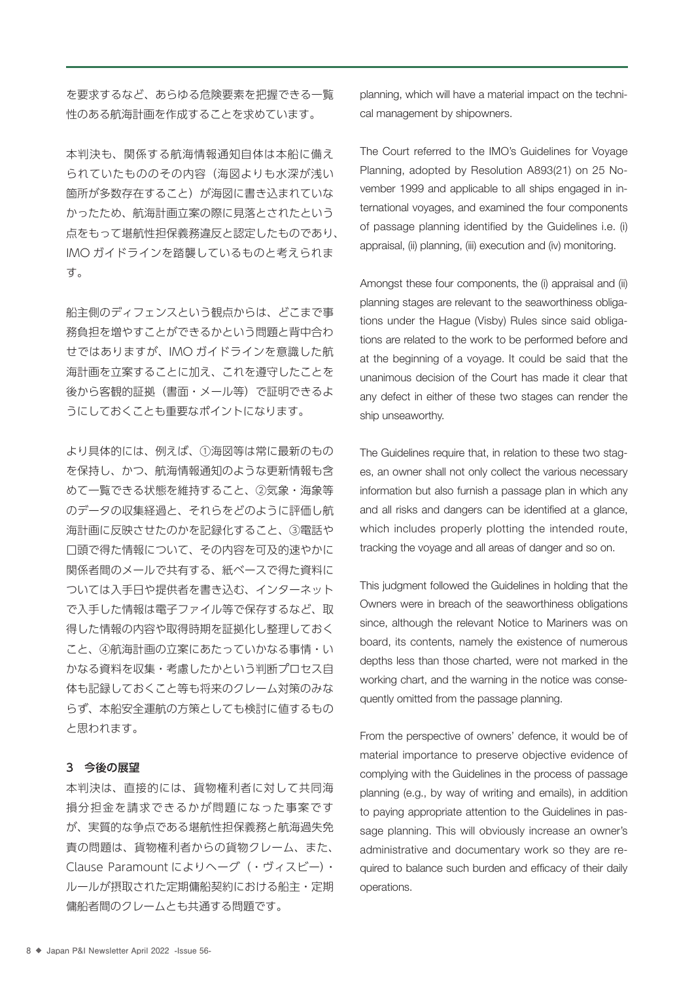を要求するなど、あらゆる危険要素を把握できる一覧 性のある航海計画を作成することを求めています。

本判決も、関係する航海情報通知自体は本船に備え られていたもののその内容(海図よりも水深が浅い 箇所が多数存在すること)が海図に書き込まれていな かったため、航海計画立案の際に見落とされたという 点をもって堪航性担保義務違反と認定したものであり、 IMO ガイドラインを踏襲しているものと考えられま す。

船主側のディフェンスという観点からは、どこまで事 務負担を増やすことができるかという問題と背中合わ せではありますが、IMO ガイドラインを意識した航 海計画を立案することに加え、これを遵守したことを 後から客観的証拠(書面・メール等)で証明できるよ うにしておくことも重要なポイントになります。

より具体的には、例えば、①海図等は常に最新のもの を保持し、かつ、航海情報通知のような更新情報も含 めて一覧できる状態を維持すること、②気象・海象等 のデータの収集経過と、それらをどのように評価し航 海計画に反映させたのかを記録化すること、③電話や 口頭で得た情報について、その内容を可及的速やかに 関係者間のメールで共有する、紙ベースで得た資料に ついては入手日や提供者を書き込む、インターネット で入手した情報は電子ファイル等で保存するなど、取 得した情報の内容や取得時期を証拠化し整理しておく こと、④航海計画の立案にあたっていかなる事情・い かなる資料を収集・考慮したかという判断プロセス自 体も記録しておくこと等も将来のクレーム対策のみな らず、本船安全運航の方策としても検討に値するもの と思われます。

### 3 今後の展望

本判決は、直接的には、貨物権利者に対して共同海 損分担金を請求できるかが問題になった事案です が、実質的な争点である堪航性担保義務と航海過失免 責の問題は、貨物権利者からの貨物クレーム、また、 Clause Paramount によりヘーグ(・ヴィスビー)・ ルールが摂取された定期傭船契約における船主・定期 傭船者間のクレームとも共通する問題です。

planning, which will have a material impact on the technical management by shipowners.

The Court referred to the IMO's Guidelines for Voyage Planning, adopted by Resolution A893(21) on 25 November 1999 and applicable to all ships engaged in international voyages, and examined the four components of passage planning identified by the Guidelines i.e. (i) appraisal, (ii) planning, (iii) execution and (iv) monitoring.

Amongst these four components, the (i) appraisal and (ii) planning stages are relevant to the seaworthiness obligations under the Hague (Visby) Rules since said obligations are related to the work to be performed before and at the beginning of a voyage. It could be said that the unanimous decision of the Court has made it clear that any defect in either of these two stages can render the ship unseaworthy.

The Guidelines require that, in relation to these two stages, an owner shall not only collect the various necessary information but also furnish a passage plan in which any and all risks and dangers can be identified at a glance, which includes properly plotting the intended route, tracking the voyage and all areas of danger and so on.

This judgment followed the Guidelines in holding that the Owners were in breach of the seaworthiness obligations since, although the relevant Notice to Mariners was on board, its contents, namely the existence of numerous depths less than those charted, were not marked in the working chart, and the warning in the notice was consequently omitted from the passage planning.

From the perspective of owners' defence, it would be of material importance to preserve objective evidence of complying with the Guidelines in the process of passage planning (e.g., by way of writing and emails), in addition to paying appropriate attention to the Guidelines in passage planning. This will obviously increase an owner's administrative and documentary work so they are required to balance such burden and efficacy of their daily operations.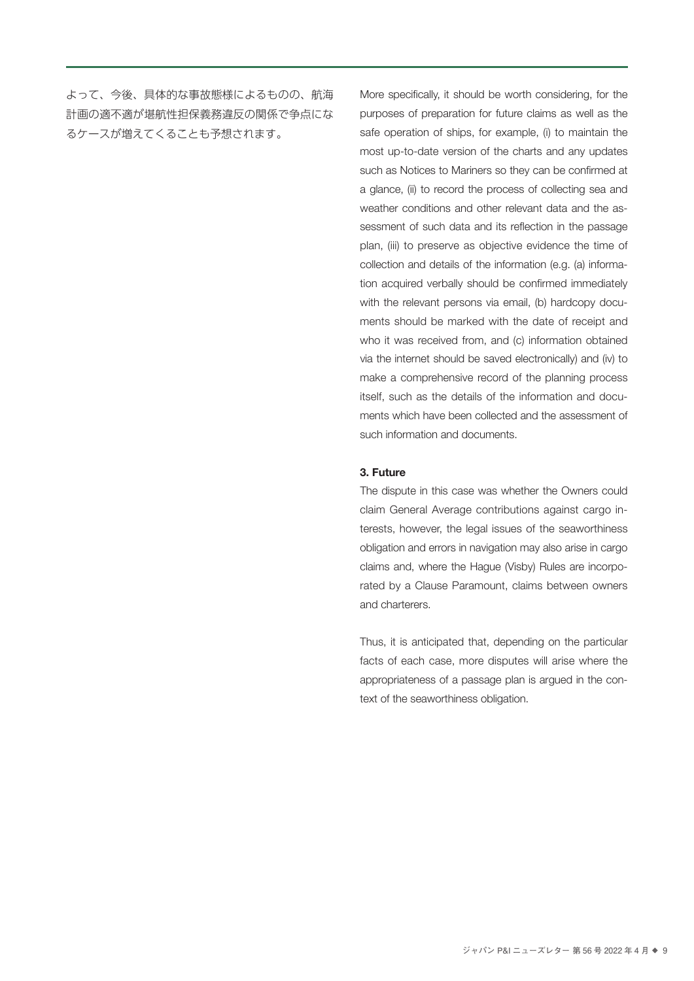よって、今後、具体的な事故態様によるものの、航海 計画の適不適が堪航性担保義務違反の関係で争点にな るケースが増えてくることも予想されます。

More specifically, it should be worth considering, for the purposes of preparation for future claims as well as the safe operation of ships, for example, (i) to maintain the most up-to-date version of the charts and any updates such as Notices to Mariners so they can be confirmed at a glance, (ii) to record the process of collecting sea and weather conditions and other relevant data and the assessment of such data and its reflection in the passage plan, (iii) to preserve as objective evidence the time of collection and details of the information (e.g. (a) information acquired verbally should be confirmed immediately with the relevant persons via email, (b) hardcopy documents should be marked with the date of receipt and who it was received from, and (c) information obtained via the internet should be saved electronically) and (iv) to make a comprehensive record of the planning process itself, such as the details of the information and documents which have been collected and the assessment of such information and documents.

### 3. Future

The dispute in this case was whether the Owners could claim General Average contributions against cargo interests, however, the legal issues of the seaworthiness obligation and errors in navigation may also arise in cargo claims and, where the Hague (Visby) Rules are incorporated by a Clause Paramount, claims between owners and charterers.

Thus, it is anticipated that, depending on the particular facts of each case, more disputes will arise where the appropriateness of a passage plan is argued in the context of the seaworthiness obligation.